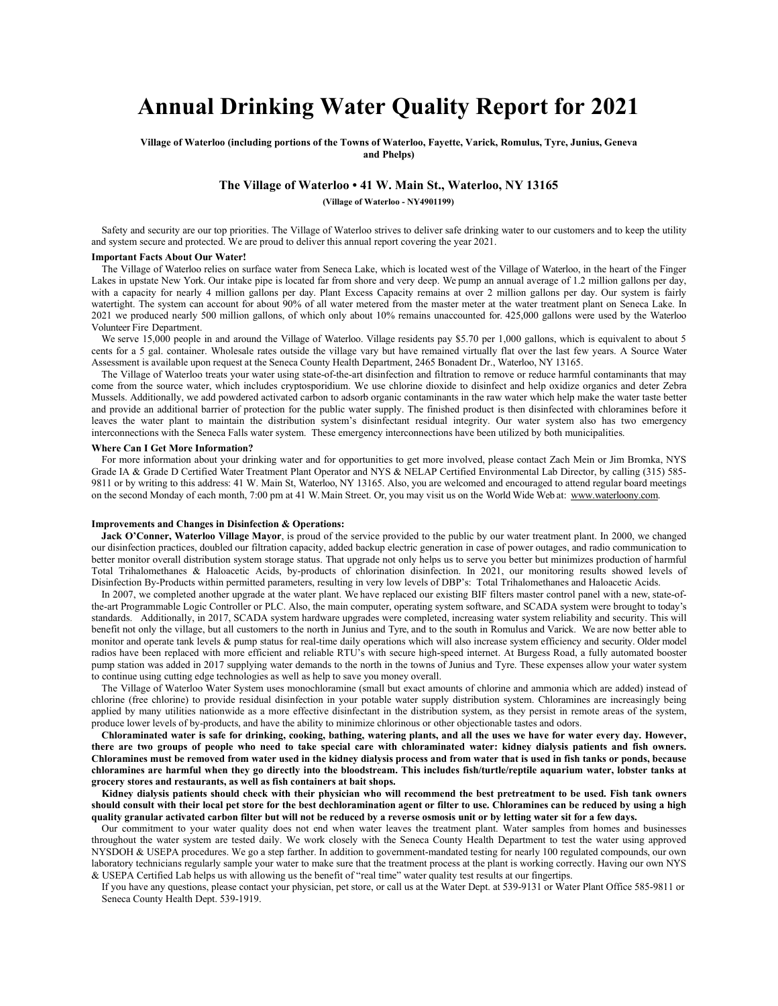# **Annual Drinking Water Quality Report for 2021**

**Village of Waterloo (including portions of the Towns of Waterloo, Fayette, Varick, Romulus, Tyre, Junius, Geneva and Phelps)**

# **The Village of Waterloo • 41 W. Main St., Waterloo, NY 13165**

**(Village of Waterloo - NY4901199)**

Safety and security are our top priorities. The Village of Waterloo strives to deliver safe drinking water to our customers and to keep the utility and system secure and protected. We are proud to deliver this annual report covering the year 2021.

## **Important Facts About Our Water!**

The Village of Waterloo relies on surface water from Seneca Lake, which is located west of the Village of Waterloo, in the heart of the Finger Lakes in upstate New York. Our intake pipe is located far from shore and very deep. We pump an annual average of 1.2 million gallons per day, with a capacity for nearly 4 million gallons per day. Plant Excess Capacity remains at over 2 million gallons per day. Our system is fairly watertight. The system can account for about 90% of all water metered from the master meter at the water treatment plant on Seneca Lake. In 2021 we produced nearly 500 million gallons, of which only about 10% remains unaccounted for. 425,000 gallons were used by the Waterloo Volunteer Fire Department.

We serve 15,000 people in and around the Village of Waterloo. Village residents pay \$5.70 per 1,000 gallons, which is equivalent to about 5 cents for a 5 gal. container. Wholesale rates outside the village vary but have remained virtually flat over the last few years. A Source Water Assessment is available upon request at the Seneca County Health Department, 2465 Bonadent Dr., Waterloo, NY 13165.

The Village of Waterloo treats your water using state-of-the-art disinfection and filtration to remove or reduce harmful contaminants that may come from the source water, which includes cryptosporidium. We use chlorine dioxide to disinfect and help oxidize organics and deter Zebra Mussels. Additionally, we add powdered activated carbon to adsorb organic contaminants in the raw water which help make the water taste better and provide an additional barrier of protection for the public water supply. The finished product is then disinfected with chloramines before it leaves the water plant to maintain the distribution system's disinfectant residual integrity. Our water system also has two emergency interconnections with the Seneca Falls water system. These emergency interconnections have been utilized by both municipalities.

## **Where Can I Get More Information?**

For more information about your drinking water and for opportunities to get more involved, please contact Zach Mein or Jim Bromka, NYS Grade IA & Grade D Certified Water Treatment Plant Operator and NYS & NELAP Certified Environmental Lab Director, by calling (315) 585- 9811 or by writing to this address: 41 W. Main St, Waterloo, NY 13165. Also, you are welcomed and encouraged to attend regular board meetings on the second Monday of each month, 7:00 pm at 41 W. Main Street. Or, you may visit us on the World Wide Web at: [www.waterloony.com.](http://www.waterloony.com/)

# **Improvements and Changes in Disinfection & Operations:**

Jack O'Conner, Waterloo Village Mayor, is proud of the service provided to the public by our water treatment plant. In 2000, we changed our disinfection practices, doubled our filtration capacity, added backup electric generation in case of power outages, and radio communication to better monitor overall distribution system storage status. That upgrade not only helps us to serve you better but minimizes production of harmful Total Trihalomethanes & Haloacetic Acids, by-products of chlorination disinfection. In 2021, our monitoring results showed levels of Disinfection By-Products within permitted parameters, resulting in very low levels of DBP's: Total Trihalomethanes and Haloacetic Acids.

In 2007, we completed another upgrade at the water plant. We have replaced our existing BIF filters master control panel with a new, state-ofthe-art Programmable Logic Controller or PLC. Also, the main computer, operating system software, and SCADA system were brought to today's standards. Additionally, in 2017, SCADA system hardware upgrades were completed, increasing water system reliability and security. This will benefit not only the village, but all customers to the north in Junius and Tyre, and to the south in Romulus and Varick. We are now better able to monitor and operate tank levels & pump status for real-time daily operations which will also increase system efficiency and security. Older model radios have been replaced with more efficient and reliable RTU's with secure high-speed internet. At Burgess Road, a fully automated booster pump station was added in 2017 supplying water demands to the north in the towns of Junius and Tyre. These expenses allow your water system to continue using cutting edge technologies as well as help to save you money overall.

The Village of Waterloo Water System uses monochloramine (small but exact amounts of chlorine and ammonia which are added) instead of chlorine (free chlorine) to provide residual disinfection in your potable water supply distribution system. Chloramines are increasingly being applied by many utilities nationwide as a more effective disinfectant in the distribution system, as they persist in remote areas of the system, produce lower levels of by-products, and have the ability to minimize chlorinous or other objectionable tastes and odors.

**Chloraminated water is safe for drinking, cooking, bathing, watering plants, and all the uses we have for water every day. However, there are two groups of people who need to take special care with chloraminated water: kidney dialysis patients and fish owners. Chloramines must be removed from water used in the kidney dialysis process and from water that is used in fish tanks or ponds, because chloramines are harmful when they go directly into the bloodstream. This includes fish/turtle/reptile aquarium water, lobster tanks at grocery stores and restaurants, as well as fish containers at bait shops.**

**Kidney dialysis patients should check with their physician who will recommend the best pretreatment to be used. Fish tank owners should consult with their local pet store for the best dechloramination agent or filter to use. Chloramines can be reduced by using a high quality granular activated carbon filter but will not be reduced by a reverse osmosis unit or by letting water sit for a few days.**

Our commitment to your water quality does not end when water leaves the treatment plant. Water samples from homes and businesses throughout the water system are tested daily. We work closely with the Seneca County Health Department to test the water using approved NYSDOH & USEPA procedures. We go a step farther. In addition to government-mandated testing for nearly 100 regulated compounds, our own laboratory technicians regularly sample your water to make sure that the treatment process at the plant is working correctly. Having our own NYS & USEPA Certified Lab helps us with allowing us the benefit of "real time" water quality test results at our fingertips.

If you have any questions, please contact your physician, pet store, or call us at the Water Dept. at 539-9131 or Water Plant Office 585-9811 or Seneca County Health Dept. 539-1919.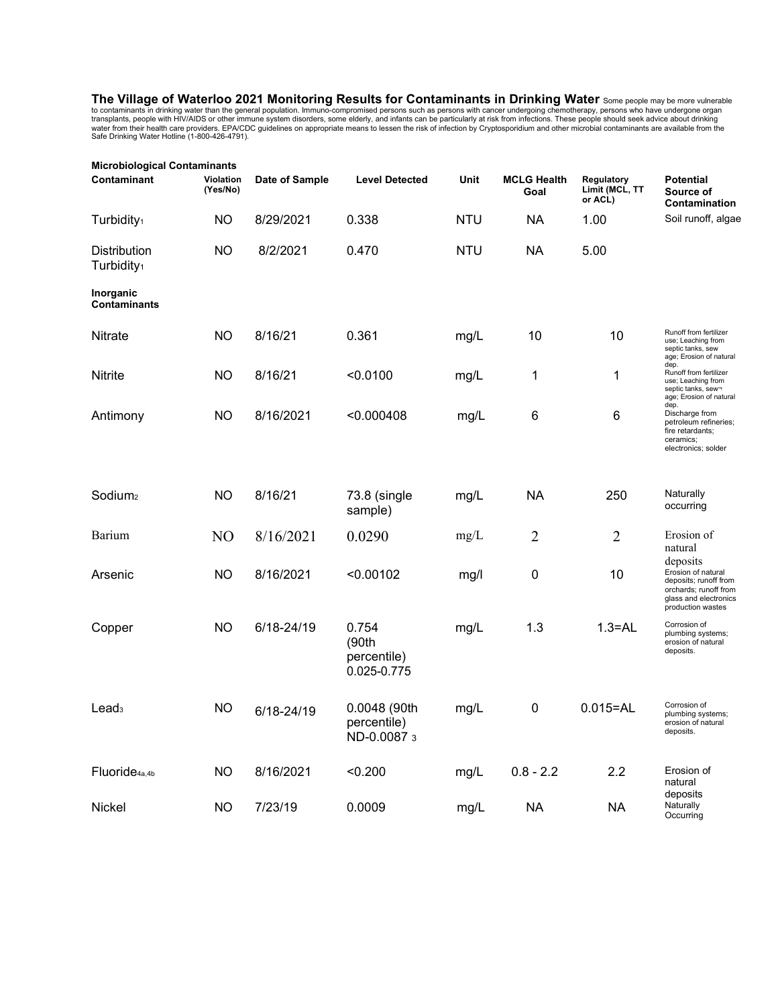**The Village of Waterloo 2021 Monitoring Results for Contaminants in Drinking Water** Some people may be more vulnerable to contaminants in drinking water than the general population. Immuno-compromised persons such as persons with cancer undergoing chemotherapy, persons who have undergone organ<br>transplants, people with HIV/AIDS or other imm

| <b>Microbiological Contaminants</b>    |                       |                |                                              |            |                            |                                         |                                                                                                                                |  |  |
|----------------------------------------|-----------------------|----------------|----------------------------------------------|------------|----------------------------|-----------------------------------------|--------------------------------------------------------------------------------------------------------------------------------|--|--|
| Contaminant                            | Violation<br>(Yes/No) | Date of Sample | <b>Level Detected</b>                        | Unit       | <b>MCLG Health</b><br>Goal | Regulatory<br>Limit (MCL, TT<br>or ACL) | <b>Potential</b><br>Source of<br>Contamination                                                                                 |  |  |
| Turbidity <sub>1</sub>                 | ΝO                    | 8/29/2021      | 0.338                                        | <b>NTU</b> | <b>NA</b>                  | 1.00                                    | Soil runoff, algae                                                                                                             |  |  |
| Distribution<br>Turbidity <sub>1</sub> | NO                    | 8/2/2021       | 0.470                                        | <b>NTU</b> | <b>NA</b>                  | 5.00                                    |                                                                                                                                |  |  |
| Inorganic<br><b>Contaminants</b>       |                       |                |                                              |            |                            |                                         |                                                                                                                                |  |  |
| <b>Nitrate</b>                         | <b>NO</b>             | 8/16/21        | 0.361                                        | mg/L       | 10                         | 10                                      | Runoff from fertilizer<br>use; Leaching from<br>septic tanks, sew<br>age; Erosion of natural                                   |  |  |
| Nitrite                                | <b>NO</b>             | 8/16/21        | < 0.0100                                     | mg/L       | 1                          | 1                                       | dep.<br>Runoff from fertilizer<br>use; Leaching from<br>septic tanks, sew-<br>age; Erosion of natural<br>dep.                  |  |  |
| Antimony                               | ΝO                    | 8/16/2021      | < 0.000408                                   | mg/L       | 6                          | 6                                       | Discharge from<br>petroleum refineries;<br>fire retardants;<br>ceramics;<br>electronics; solder                                |  |  |
| Sodium <sub>2</sub>                    | ΝO                    | 8/16/21        | 73.8 (single<br>sample)                      | mg/L       | <b>NA</b>                  | 250                                     | Naturally<br>occurring                                                                                                         |  |  |
| Barium                                 | N <sub>O</sub>        | 8/16/2021      | 0.0290                                       | mg/L       | $\overline{2}$             | $\overline{2}$                          | Erosion of<br>natural                                                                                                          |  |  |
| Arsenic                                | NO                    | 8/16/2021      | < 0.00102                                    | mg/l       | 0                          | 10                                      | deposits<br>Erosion of natural<br>deposits; runoff from<br>orchards; runoff from<br>glass and electronics<br>production wastes |  |  |
| Copper                                 | <b>NO</b>             | 6/18-24/19     | 0.754<br>(90th<br>percentile)<br>0.025-0.775 | mg/L       | 1.3                        | $1.3 = AL$                              | Corrosion of<br>plumbing systems;<br>erosion of natural<br>deposits.                                                           |  |  |
| Lead <sub>3</sub>                      | <b>NO</b>             | 6/18-24/19     | 0.0048 (90th<br>percentile)<br>ND-0.0087 3   | mg/L       | 0                          | $0.015 = AL$                            | Corrosion of<br>plumbing systems;<br>erosion of natural<br>deposits.                                                           |  |  |
| Fluoride <sub>4a,4b</sub>              | <b>NO</b>             | 8/16/2021      | < 0.200                                      | mg/L       | $0.8 - 2.2$                | 2.2                                     | Erosion of<br>natural                                                                                                          |  |  |
| Nickel                                 | <b>NO</b>             | 7/23/19        | 0.0009                                       | mg/L       | <b>NA</b>                  | <b>NA</b>                               | deposits<br>Naturally<br>Occurring                                                                                             |  |  |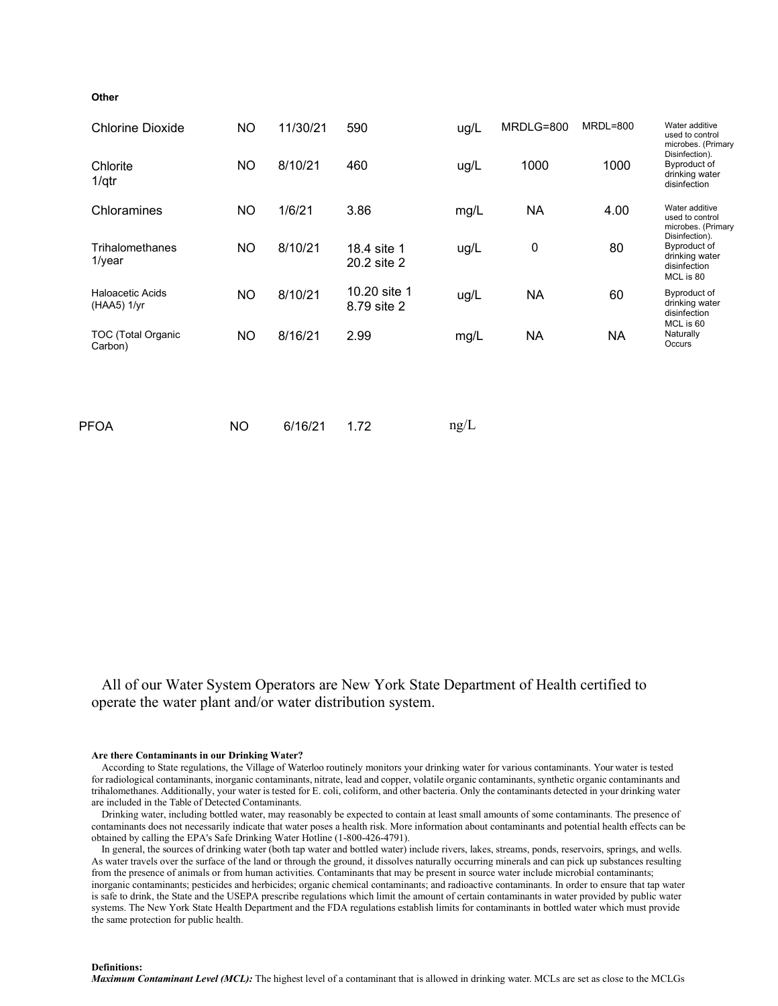# **Other**

| <b>Chlorine Dioxide</b>                  | <b>NO</b> | 11/30/21 | 590                         | ug/L | MRDLG=800 | MRDL=800  | Water additive<br>used to control<br>microbes. (Primary<br>Disinfection).<br>Byproduct of<br>drinking water<br>disinfection |
|------------------------------------------|-----------|----------|-----------------------------|------|-----------|-----------|-----------------------------------------------------------------------------------------------------------------------------|
| Chlorite<br>1/qtr                        | <b>NO</b> | 8/10/21  | 460                         | ug/L | 1000      | 1000      |                                                                                                                             |
| Chloramines                              | <b>NO</b> | 1/6/21   | 3.86                        | mg/L | NA        | 4.00      | Water additive<br>used to control<br>microbes. (Primary<br>Disinfection).                                                   |
| Trihalomethanes<br>$1$ /year             | <b>NO</b> | 8/10/21  | 18.4 site 1<br>20.2 site 2  | ug/L | 0         | 80        | Byproduct of<br>drinking water<br>disinfection<br>MCL is 80                                                                 |
| <b>Haloacetic Acids</b><br>$(HAA5)$ 1/yr | <b>NO</b> | 8/10/21  | 10.20 site 1<br>8.79 site 2 | ug/L | <b>NA</b> | 60        | Byproduct of<br>drinking water<br>disinfection<br>MCL is 60                                                                 |
| <b>TOC (Total Organic</b><br>Carbon)     | <b>NO</b> | 8/16/21  | 2.99                        | mg/L | <b>NA</b> | <b>NA</b> | Naturally<br>Occurs                                                                                                         |
|                                          |           |          |                             |      |           |           |                                                                                                                             |
| <b>PFOA</b>                              | <b>NO</b> | 6/16/21  | 1.72                        | ng/L |           |           |                                                                                                                             |

All of our Water System Operators are New York State Department of Health certified to operate the water plant and/or water distribution system.

#### **Are there Contaminants in our Drinking Water?**

According to State regulations, the Village of Waterloo routinely monitors your drinking water for various contaminants. Your water is tested for radiological contaminants, inorganic contaminants, nitrate, lead and copper, volatile organic contaminants, synthetic organic contaminants and trihalomethanes. Additionally, your water is tested for E. coli, coliform, and other bacteria. Only the contaminants detected in your drinking water are included in the Table of Detected Contaminants.

Drinking water, including bottled water, may reasonably be expected to contain at least small amounts of some contaminants. The presence of contaminants does not necessarily indicate that water poses a health risk. More information about contaminants and potential health effects can be obtained by calling the EPA's Safe Drinking Water Hotline (1-800-426-4791).

In general, the sources of drinking water (both tap water and bottled water) include rivers, lakes, streams, ponds, reservoirs, springs, and wells. As water travels over the surface of the land or through the ground, it dissolves naturally occurring minerals and can pick up substances resulting from the presence of animals or from human activities. Contaminants that may be present in source water include microbial contaminants; inorganic contaminants; pesticides and herbicides; organic chemical contaminants; and radioactive contaminants. In order to ensure that tap water is safe to drink, the State and the USEPA prescribe regulations which limit the amount of certain contaminants in water provided by public water systems. The New York State Health Department and the FDA regulations establish limits for contaminants in bottled water which must provide the same protection for public health.

**Definitions:**

*Maximum Contaminant Level (MCL):* The highest level of a contaminant that is allowed in drinking water. MCLs are set as close to the MCLGs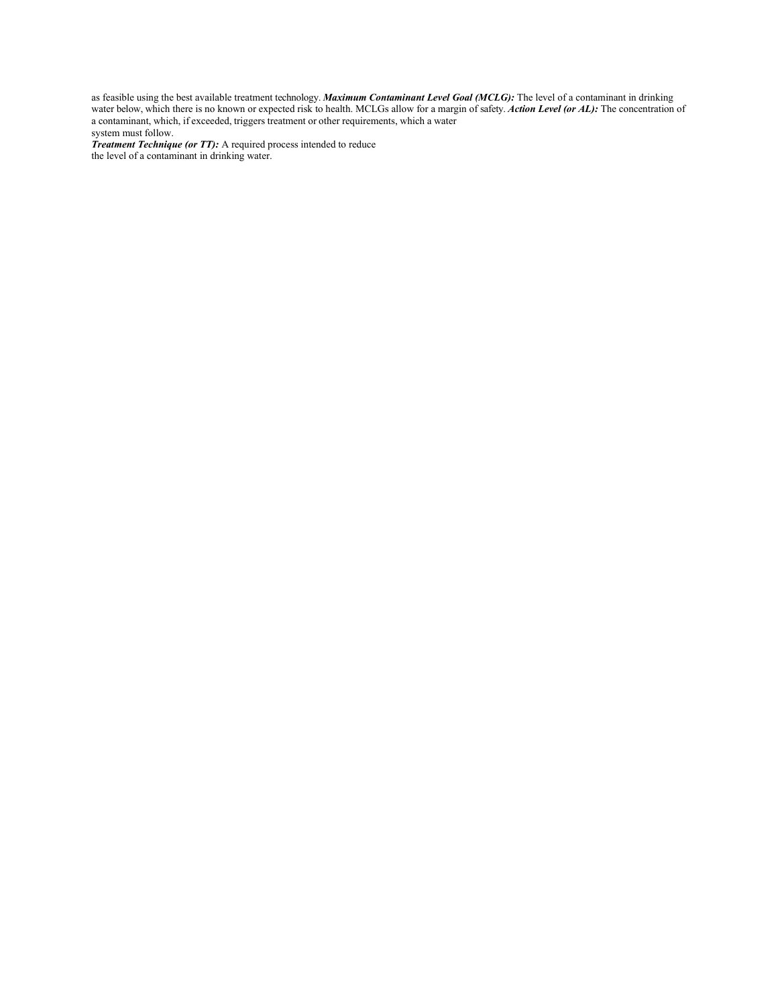as feasible using the best available treatment technology. *Maximum Contaminant Level Goal (MCLG):* The level of a contaminant in drinking water below, which there is no known or expected risk to health. MCLGs allow for a margin of safety. *Action Level (or AL):* The concentration of a contaminant, which, if exceeded, triggers treatment or other requirements, which a water system must follow.

*Treatment Technique (or TT):* A required process intended to reduce the level of a contaminant in drinking water.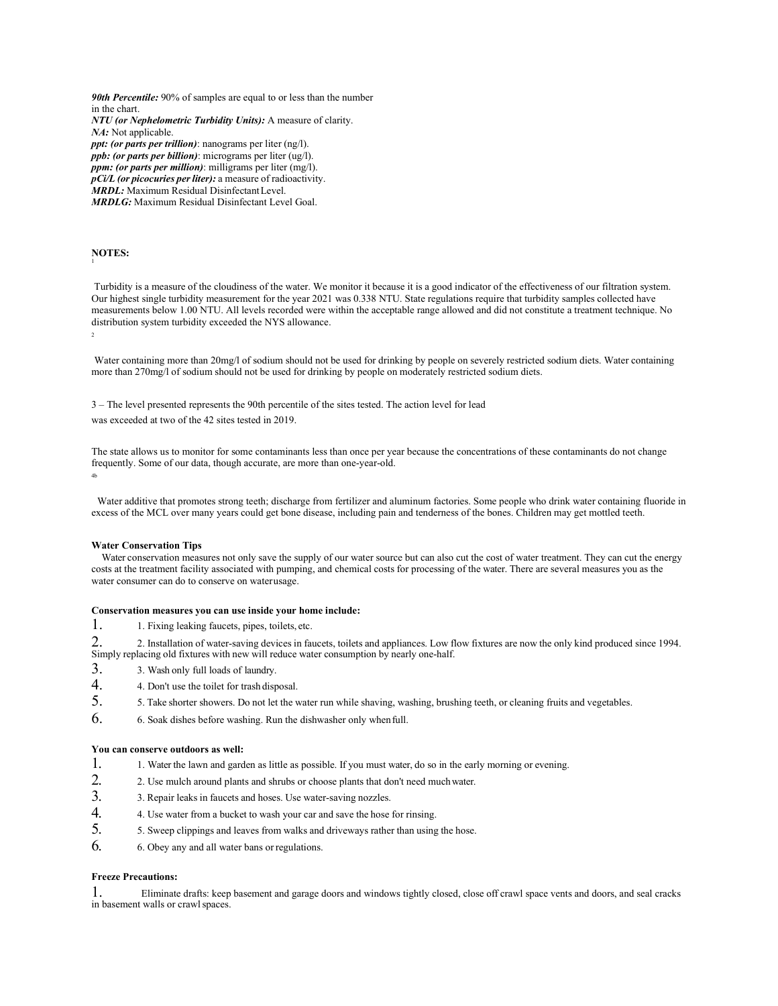*90th Percentile:* 90% of samples are equal to or less than the number in the chart. *NTU (or Nephelometric Turbidity Units):* A measure of clarity. *NA:* Not applicable. *ppt: (or parts per trillion)*: nanograms per liter (ng/l). *ppb: (or parts per billion)*: micrograms per liter (ug/l). *ppm: (or parts per million)*: milligrams per liter (mg/l). *pCi/L (or picocuries perliter):* a measure of radioactivity. *MRDL:* Maximum Residual DisinfectantLevel. *MRDLG:* Maximum Residual Disinfectant Level Goal.

#### **NOTES:** 1

Turbidity is a measure of the cloudiness of the water. We monitor it because it is a good indicator of the effectiveness of our filtration system. Our highest single turbidity measurement for the year 2021 was 0.338 NTU. State regulations require that turbidity samples collected have measurements below 1.00 NTU. All levels recorded were within the acceptable range allowed and did not constitute a treatment technique. No distribution system turbidity exceeded the NYS allowance.

Water containing more than 20mg/l of sodium should not be used for drinking by people on severely restricted sodium diets. Water containing more than 270mg/l of sodium should not be used for drinking by people on moderately restricted sodium diets.

3 – The level presented represents the 90th percentile of the sites tested. The action level for lead

was exceeded at two of the 42 sites tested in 2019.

The state allows us to monitor for some contaminants less than once per year because the concentrations of these contaminants do not change frequently. Some of our data, though accurate, are more than one-year-old. 4b

Water additive that promotes strong teeth; discharge from fertilizer and aluminum factories. Some people who drink water containing fluoride in excess of the MCL over many years could get bone disease, including pain and tenderness of the bones. Children may get mottled teeth.

## **Water Conservation Tips**

Water conservation measures not only save the supply of our water source but can also cut the cost of water treatment. They can cut the energy costs at the treatment facility associated with pumping, and chemical costs for processing of the water. There are several measures you as the water consumer can do to conserve on waterusage.

#### **Conservation measures you can use inside your home include:**

1. 1. Fixing leaking faucets, pipes, toilets, etc.

2. 2. Installation of water-saving devices in faucets, toilets and appliances. Low flow fixtures are now the only kind produced since 1994. Simply replacing old fixtures with new will reduce water consumption by nearly one-half.

- 3. 3. Wash only full loads of laundry.
- 4. 4. Don't use the toilet for trash disposal.
- 5. 5. Take shorter showers. Do not let the water run while shaving, washing, brushing teeth, or cleaning fruits and vegetables.
- 6. 6. Soak dishes before washing. Run the dishwasher only whenfull.

# **You can conserve outdoors as well:**

- 1. 1. Water the lawn and garden as little as possible. If you must water, do so in the early morning or evening.
- 2. 2. Use mulch around plants and shrubs or choose plants that don't need muchwater.
- 3. 3. Repair leaks in faucets and hoses. Use water-saving nozzles.
- 4. 4. Use water from <sup>a</sup> bucket to wash your car and save the hose for rinsing.
- 5. 5. Sweep clippings and leaves from walks and driveways rather than using the hose.
- 6. 6. Obey any and all water bans orregulations.

# **Freeze Precautions:**

1. Eliminate drafts: keep basement and garage doors and windows tightly closed, close off crawl space vents and doors, and seal cracks in basement walls or crawl spaces.